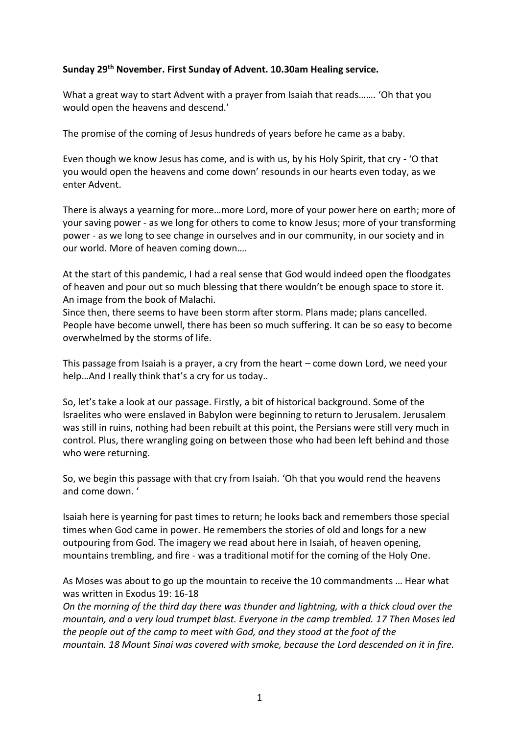## **Sunday 29th November. First Sunday of Advent. 10.30am Healing service.**

What a great way to start Advent with a prayer from Isaiah that reads……. 'Oh that you would open the heavens and descend.'

The promise of the coming of Jesus hundreds of years before he came as a baby.

Even though we know Jesus has come, and is with us, by his Holy Spirit, that cry - 'O that you would open the heavens and come down' resounds in our hearts even today, as we enter Advent.

There is always a yearning for more…more Lord, more of your power here on earth; more of your saving power - as we long for others to come to know Jesus; more of your transforming power - as we long to see change in ourselves and in our community, in our society and in our world. More of heaven coming down….

At the start of this pandemic, I had a real sense that God would indeed open the floodgates of heaven and pour out so much blessing that there wouldn't be enough space to store it. An image from the book of Malachi.

Since then, there seems to have been storm after storm. Plans made; plans cancelled. People have become unwell, there has been so much suffering. It can be so easy to become overwhelmed by the storms of life.

This passage from Isaiah is a prayer, a cry from the heart – come down Lord, we need your help…And I really think that's a cry for us today..

So, let's take a look at our passage. Firstly, a bit of historical background. Some of the Israelites who were enslaved in Babylon were beginning to return to Jerusalem. Jerusalem was still in ruins, nothing had been rebuilt at this point, the Persians were still very much in control. Plus, there wrangling going on between those who had been left behind and those who were returning.

So, we begin this passage with that cry from Isaiah. 'Oh that you would rend the heavens and come down. '

Isaiah here is yearning for past times to return; he looks back and remembers those special times when God came in power. He remembers the stories of old and longs for a new outpouring from God. The imagery we read about here in Isaiah, of heaven opening, mountains trembling, and fire - was a traditional motif for the coming of the Holy One.

As Moses was about to go up the mountain to receive the 10 commandments … Hear what was written in Exodus 19: 16-18

*On the morning of the third day there was thunder and lightning, with a thick cloud over the mountain, and a very loud trumpet blast. Everyone in the camp trembled. 17 Then Moses led the people out of the camp to meet with God, and they stood at the foot of the mountain. 18 Mount Sinai was covered with smoke, because the Lord descended on it in fire.*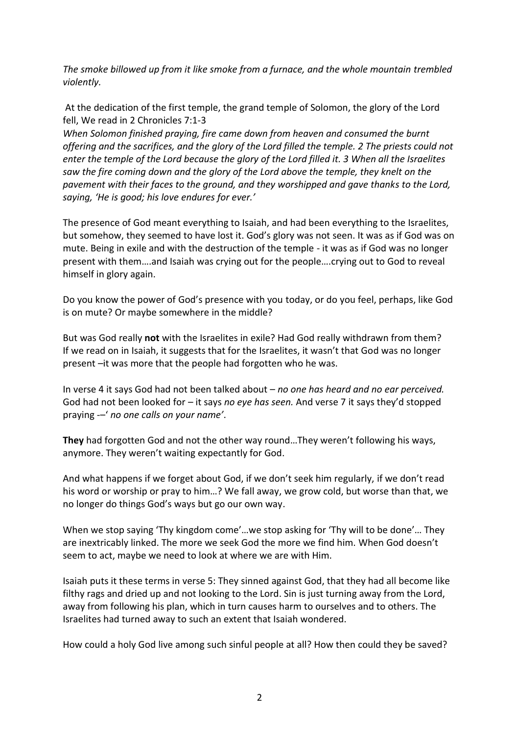*The smoke billowed up from it like smoke from a furnace, and the whole mountain trembled violently.*

At the dedication of the first temple, the grand temple of Solomon, the glory of the Lord fell, We read in 2 Chronicles 7:1-3

*When Solomon finished praying, fire came down from heaven and consumed the burnt offering and the sacrifices, and the glory of the Lord filled the temple. 2 The priests could not enter the temple of the Lord because the glory of the Lord filled it. 3 When all the Israelites saw the fire coming down and the glory of the Lord above the temple, they knelt on the pavement with their faces to the ground, and they worshipped and gave thanks to the Lord, saying, 'He is good; his love endures for ever.'*

The presence of God meant everything to Isaiah, and had been everything to the Israelites, but somehow, they seemed to have lost it. God's glory was not seen. It was as if God was on mute. Being in exile and with the destruction of the temple - it was as if God was no longer present with them….and Isaiah was crying out for the people….crying out to God to reveal himself in glory again.

Do you know the power of God's presence with you today, or do you feel, perhaps, like God is on mute? Or maybe somewhere in the middle?

But was God really **not** with the Israelites in exile? Had God really withdrawn from them? If we read on in Isaiah, it suggests that for the Israelites, it wasn't that God was no longer present –it was more that the people had forgotten who he was.

In verse 4 it says God had not been talked about – *no one has heard and no ear perceived.* God had not been looked for – it says *no eye has seen.* And verse 7 it says they'd stopped praying -–' *no one calls on your name'*.

**They** had forgotten God and not the other way round…They weren't following his ways, anymore. They weren't waiting expectantly for God.

And what happens if we forget about God, if we don't seek him regularly, if we don't read his word or worship or pray to him…? We fall away, we grow cold, but worse than that, we no longer do things God's ways but go our own way.

When we stop saying 'Thy kingdom come'…we stop asking for 'Thy will to be done'… They are inextricably linked. The more we seek God the more we find him. When God doesn't seem to act, maybe we need to look at where we are with Him.

Isaiah puts it these terms in verse 5: They sinned against God, that they had all become like filthy rags and dried up and not looking to the Lord. Sin is just turning away from the Lord, away from following his plan, which in turn causes harm to ourselves and to others. The Israelites had turned away to such an extent that Isaiah wondered.

How could a holy God live among such sinful people at all? How then could they be saved?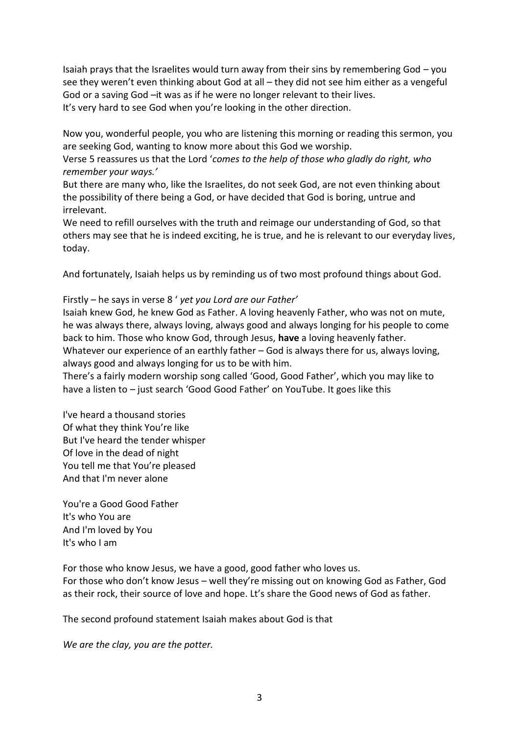Isaiah prays that the Israelites would turn away from their sins by remembering God – you see they weren't even thinking about God at all – they did not see him either as a vengeful God or a saving God –it was as if he were no longer relevant to their lives. It's very hard to see God when you're looking in the other direction.

Now you, wonderful people, you who are listening this morning or reading this sermon, you are seeking God, wanting to know more about this God we worship.

Verse 5 reassures us that the Lord '*comes to the help of those who gladly do right, who remember your ways.'*

But there are many who, like the Israelites, do not seek God, are not even thinking about the possibility of there being a God, or have decided that God is boring, untrue and irrelevant.

We need to refill ourselves with the truth and reimage our understanding of God, so that others may see that he is indeed exciting, he is true, and he is relevant to our everyday lives, today.

And fortunately, Isaiah helps us by reminding us of two most profound things about God.

Firstly – he says in verse 8 ' *yet you Lord are our Father'*

Isaiah knew God, he knew God as Father. A loving heavenly Father, who was not on mute, he was always there, always loving, always good and always longing for his people to come back to him. Those who know God, through Jesus, **have** a loving heavenly father. Whatever our experience of an earthly father – God is always there for us, always loving, always good and always longing for us to be with him.

There's a fairly modern worship song called 'Good, Good Father', which you may like to have a listen to – just search 'Good Good Father' on YouTube. It goes like this

I've heard a thousand stories Of what they think You're like But I've heard the tender whisper Of love in the dead of night You tell me that You're pleased And that I'm never alone

You're a Good Good Father It's who You are And I'm loved by You It's who I am

For those who know Jesus, we have a good, good father who loves us. For those who don't know Jesus – well they're missing out on knowing God as Father, God as their rock, their source of love and hope. Lt's share the Good news of God as father.

The second profound statement Isaiah makes about God is that

*We are the clay, you are the potter.*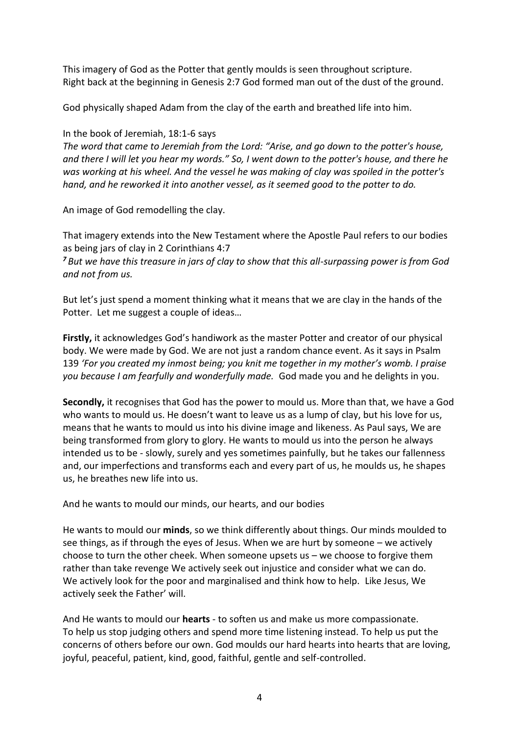This imagery of God as the Potter that gently moulds is seen throughout scripture. Right back at the beginning in Genesis 2:7 God formed man out of the dust of the ground.

God physically shaped Adam from the clay of the earth and breathed life into him.

In the book of Jeremiah, 18:1-6 says

*The word that came to Jeremiah from the Lord: "Arise, and go down to the potter's house, and there I will let you hear my words." So, I went down to the potter's house, and there he was working at his wheel. And the vessel he was making of clay was spoiled in the potter's hand, and he reworked it into another vessel, as it seemed good to the potter to do.*

An image of God remodelling the clay.

That imagery extends into the New Testament where the Apostle Paul refers to our bodies as being jars of clay in 2 Corinthians 4:7

*<sup>7</sup> But we have this treasure in jars of clay to show that this all-surpassing power is from God and not from us.*

But let's just spend a moment thinking what it means that we are clay in the hands of the Potter. Let me suggest a couple of ideas…

**Firstly,** it acknowledges God's handiwork as the master Potter and creator of our physical body. We were made by God. We are not just a random chance event. As it says in Psalm 139 *'For you created my inmost being; you knit me together in my mother's womb. I praise you because I am fearfully and wonderfully made.* God made you and he delights in you.

**Secondly,** it recognises that God has the power to mould us. More than that, we have a God who wants to mould us. He doesn't want to leave us as a lump of clay, but his love for us, means that he wants to mould us into his divine image and likeness. As Paul says, We are being transformed from glory to glory. He wants to mould us into the person he always intended us to be - slowly, surely and yes sometimes painfully, but he takes our fallenness and, our imperfections and transforms each and every part of us, he moulds us, he shapes us, he breathes new life into us.

And he wants to mould our minds, our hearts, and our bodies

He wants to mould our **minds**, so we think differently about things. Our minds moulded to see things, as if through the eyes of Jesus. When we are hurt by someone – we actively choose to turn the other cheek. When someone upsets us – we choose to forgive them rather than take revenge We actively seek out injustice and consider what we can do. We actively look for the poor and marginalised and think how to help. Like Jesus, We actively seek the Father' will.

And He wants to mould our **hearts** - to soften us and make us more compassionate. To help us stop judging others and spend more time listening instead. To help us put the concerns of others before our own. God moulds our hard hearts into hearts that are loving, joyful, peaceful, patient, kind, good, faithful, gentle and self-controlled.